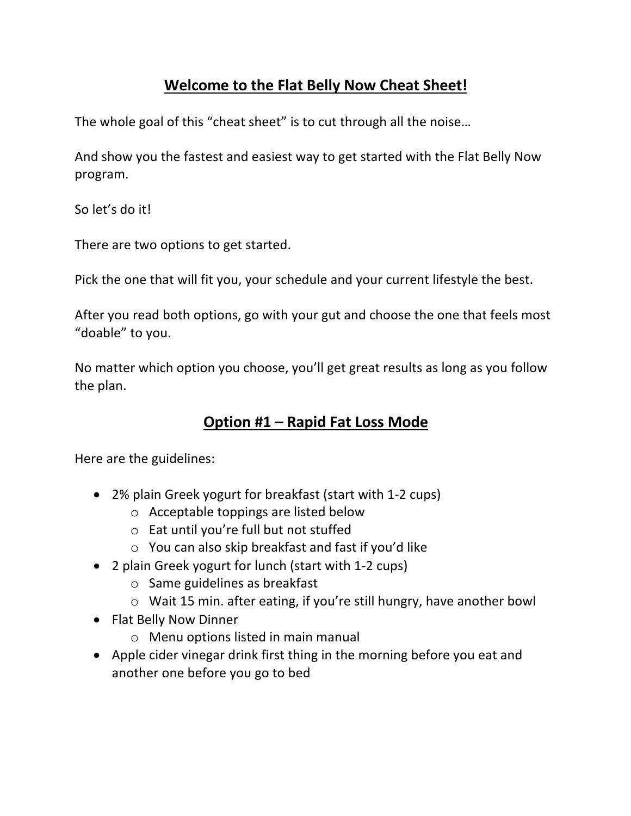## **Welcome to the Flat Belly Now Cheat Sheet!**

The whole goal of this "cheat sheet" is to cut through all the noise…

And show you the fastest and easiest way to get started with the Flat Belly Now program.

So let's do it!

There are two options to get started.

Pick the one that will fit you, your schedule and your current lifestyle the best.

After you read both options, go with your gut and choose the one that feels most "doable" to you.

No matter which option you choose, you'll get great results as long as you follow the plan.

## **Option #1 – Rapid Fat Loss Mode**

Here are the guidelines:

- 2% plain Greek yogurt for breakfast (start with 1-2 cups)
	- o Acceptable toppings are listed below
	- o Eat until you're full but not stuffed
	- o You can also skip breakfast and fast if you'd like
- 2 plain Greek yogurt for lunch (start with 1-2 cups)
	- o Same guidelines as breakfast
	- o Wait 15 min. after eating, if you're still hungry, have another bowl
- Flat Belly Now Dinner
	- o Menu options listed in main manual
- Apple cider vinegar drink first thing in the morning before you eat and another one before you go to bed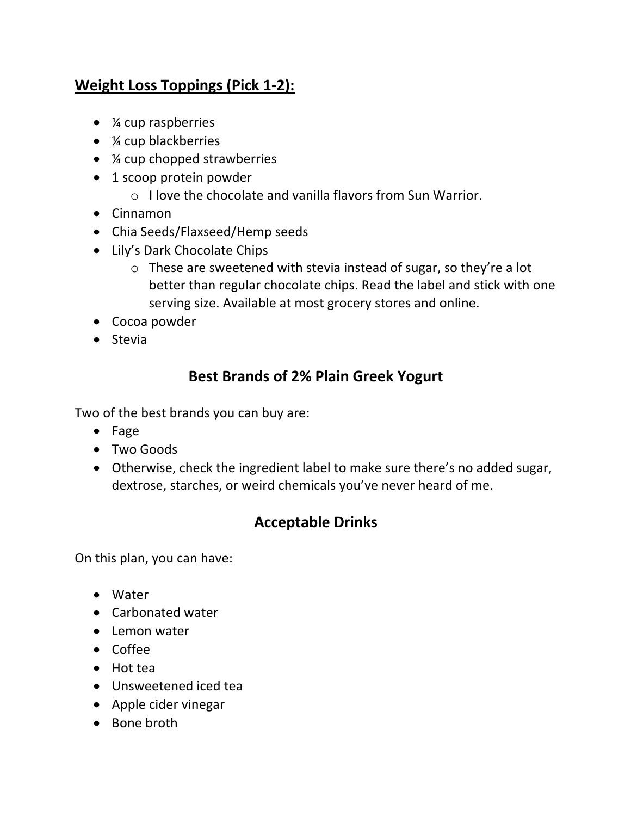# **Weight Loss Toppings (Pick 1-2):**

- *¼* cup raspberries
- *¼* cup blackberries
- *X* cup chopped strawberries
- 1 scoop protein powder
	- $\circ$  I love the chocolate and vanilla flavors from Sun Warrior.
- Cinnamon
- Chia Seeds/Flaxseed/Hemp seeds
- Lily's Dark Chocolate Chips
	- o These are sweetened with stevia instead of sugar, so they're a lot better than regular chocolate chips. Read the label and stick with one serving size. Available at most grocery stores and online.
- Cocoa powder
- Stevia

### **Best Brands of 2% Plain Greek Yogurt**

Two of the best brands you can buy are:

- Fage
- Two Goods
- Otherwise, check the ingredient label to make sure there's no added sugar, dextrose, starches, or weird chemicals you've never heard of me.

### **Acceptable Drinks**

On this plan, you can have:

- Water
- Carbonated water
- Lemon water
- Coffee
- Hot tea
- Unsweetened iced tea
- Apple cider vinegar
- Bone broth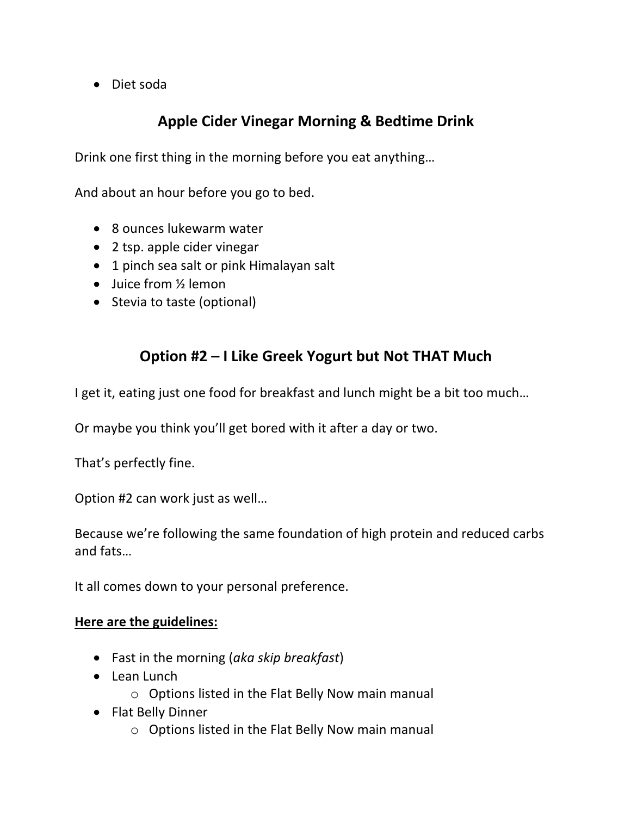• Diet soda

## **Apple Cider Vinegar Morning & Bedtime Drink**

Drink one first thing in the morning before you eat anything…

And about an hour before you go to bed.

- 8 ounces lukewarm water
- 2 tsp. apple cider vinegar
- 1 pinch sea salt or pink Himalayan salt
- Juice from 1/2 lemon
- Stevia to taste (optional)

## **Option #2 – I Like Greek Yogurt but Not THAT Much**

I get it, eating just one food for breakfast and lunch might be a bit too much…

Or maybe you think you'll get bored with it after a day or two.

That's perfectly fine.

Option #2 can work just as well…

Because we're following the same foundation of high protein and reduced carbs and fats…

It all comes down to your personal preference.

#### **Here are the guidelines:**

- Fast in the morning (*aka skip breakfast*)
- Lean Lunch
	- o Options listed in the Flat Belly Now main manual
- Flat Belly Dinner
	- o Options listed in the Flat Belly Now main manual